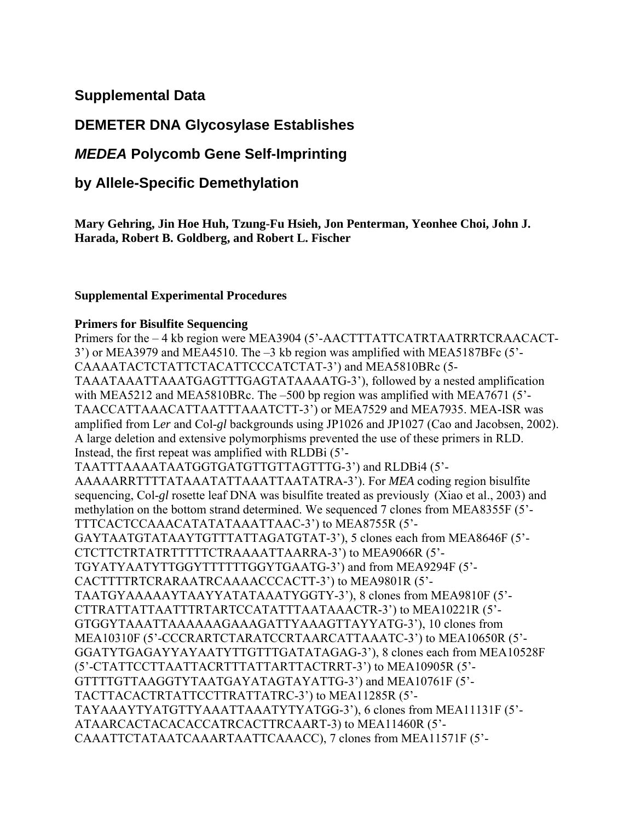## **Supplemental Data**

# **DEMETER DNA Glycosylase Establishes**

# *MEDEA* **Polycomb Gene Self-Imprinting**

## **by Allele-Specific Demethylation**

**Mary Gehring, Jin Hoe Huh, Tzung-Fu Hsieh, Jon Penterman, Yeonhee Choi, John J. Harada, Robert B. Goldberg, and Robert L. Fischer** 

## **Supplemental Experimental Procedures**

#### **Primers for Bisulfite Sequencing**

Primers for the – 4 kb region were MEA3904 (5'-AACTTTATTCATRTAATRRTCRAACACT-3') or MEA3979 and MEA4510. The –3 kb region was amplified with MEA5187BFc (5'- CAAAATACTCTATTCTACATTCCCATCTAT-3') and MEA5810BRc (5- TAAATAAATTAAATGAGTTTGAGTATAAAATG-3'), followed by a nested amplification with MEA5212 and MEA5810BRc. The –500 bp region was amplified with MEA7671 (5<sup>2</sup>-TAACCATTAAACATTAATTTAAATCTT-3') or MEA7529 and MEA7935. MEA-ISR was amplified from Ler and Col-*gl* backgrounds using JP1026 and JP1027 (Cao and Jacobsen, 2002). A large deletion and extensive polymorphisms prevented the use of these primers in RLD. Instead, the first repeat was amplified with RLDBi (5'- TAATTTAAAATAATGGTGATGTTGTTAGTTTG-3') and RLDBi4 (5'- AAAAARRTTTTATAAATATTAAATTAATATRA-3'). For *MEA* coding region bisulfite sequencing, Col-*gl* rosette leaf DNA was bisulfite treated as previously (Xiao et al., 2003) and methylation on the bottom strand determined. We sequenced 7 clones from MEA8355F (5'- TTTCACTCCAAACATATATAAATTAAC-3') to MEA8755R (5'- GAYTAATGTATAAYTGTTTATTAGATGTAT-3'), 5 clones each from MEA8646F (5'- CTCTTCTRTATRTTTTTCTRAAAATTAARRA-3') to MEA9066R (5'- TGYATYAATYTTGGYTTTTTTGGYTGAATG-3') and from MEA9294F (5'- CACTTTTRTCRARAATRCAAAACCCACTT-3') to MEA9801R (5'- TAATGYAAAAAYTAAYYATATAAATYGGTY-3'), 8 clones from MEA9810F (5'- CTTRATTATTAATTTRTARTCCATATTTAATAAACTR-3') to MEA10221R (5'- GTGGYTAAATTAAAAAAGAAAGATTYAAAGTTAYYATG-3'), 10 clones from MEA10310F (5'-CCCRARTCTARATCCRTAARCATTAAATC-3') to MEA10650R (5'- GGATYTGAGAYYAYAATYTTGTTTGATATAGAG-3'), 8 clones each from MEA10528F (5'-CTATTCCTTAATTACRTTTATTARTTACTRRT-3') to MEA10905R (5'- GTTTTGTTAAGGTYTAATGAYATAGTAYATTG-3') and MEA10761F (5'- TACTTACACTRTATTCCTTRATTATRC-3') to MEA11285R (5'- TAYAAAYTYATGTTYAAATTAAATYTYATGG-3'), 6 clones from MEA11131F (5'- ATAARCACTACACACCATRCACTTRCAART-3) to MEA11460R (5'- CAAATTCTATAATCAAARTAATTCAAACC), 7 clones from MEA11571F (5'-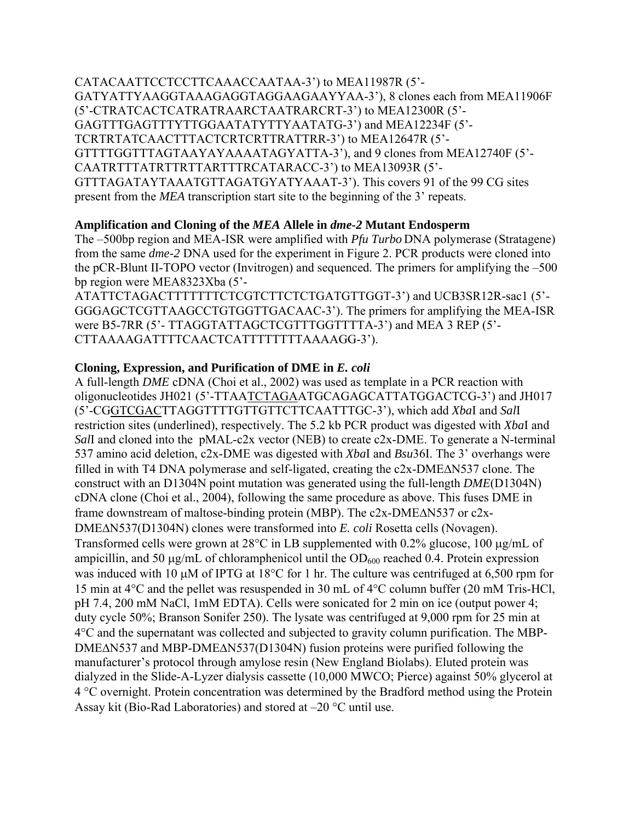CATACAATTCCTCCTTCAAACCAATAA-3') to MEA11987R (5'- GATYATTYAAGGTAAAGAGGTAGGAAGAAYYAA-3'), 8 clones each from MEA11906F (5'-CTRATCACTCATRATRAARCTAATRARCRT-3') to MEA12300R (5'- GAGTTTGAGTTTYTTGGAATATYTTYAATATG-3') and MEA12234F (5'- TCRTRTATCAACTTTACTCRTCRTTRATTRR-3') to MEA12647R (5'- GTTTTGGTTTAGTAAYAYAAAATAGYATTA-3'), and 9 clones from MEA12740F (5'- CAATRTTTATRTTRTTARTTTRCATARACC-3') to MEA13093R (5'- GTTTAGATAYTAAATGTTAGATGYATYAAAT-3'). This covers 91 of the 99 CG sites present from the *MEA* transcription start site to the beginning of the 3' repeats.

## **Amplification and Cloning of the** *MEA* **Allele in** *dme-2* **Mutant Endosperm**

The –500bp region and MEA-ISR were amplified with *Pfu Turbo* DNA polymerase (Stratagene) from the same *dme-2* DNA used for the experiment in Figure 2. PCR products were cloned into the pCR-Blunt II-TOPO vector (Invitrogen) and sequenced. The primers for amplifying the –500 bp region were MEA8323Xba (5'-

ATATTCTAGACTTTTTTTCTCGTCTTCTCTGATGTTGGT-3') and UCB3SR12R-sac1 (5'- GGGAGCTCGTTAAGCCTGTGGTTGACAAC-3'). The primers for amplifying the MEA-ISR were B5-7RR (5'- TTAGGTATTAGCTCGTTTGGTTTTA-3') and MEA 3 REP (5'- CTTAAAAGATTTTCAACTCATTTTTTTTAAAAGG-3').

## **Cloning, Expression, and Purification of DME in** *E. coli*

A full-length *DME* cDNA (Choi et al., 2002) was used as template in a PCR reaction with oligonucleotides JH021 (5'-TTAATCTAGAATGCAGAGCATTATGGACTCG-3') and JH017 (5'-CGGTCGACTTAGGTTTTGTTGTTCTTCAATTTGC-3'), which add *Xba*I and *Sal*I restriction sites (underlined), respectively. The 5.2 kb PCR product was digested with *Xba*I and *Sall* and cloned into the pMAL-c2x vector (NEB) to create c2x-DME. To generate a N-terminal 537 amino acid deletion, c2x-DME was digested with *Xba*I and *Bsu*36I. The 3' overhangs were filled in with T4 DNA polymerase and self-ligated, creating the c2x-DME∆N537 clone. The construct with an D1304N point mutation was generated using the full-length *DME*(D1304N) cDNA clone (Choi et al., 2004), following the same procedure as above. This fuses DME in frame downstream of maltose-binding protein (MBP). The c2x-DME∆N537 or c2x-DME∆N537(D1304N) clones were transformed into *E. coli* Rosetta cells (Novagen). Transformed cells were grown at 28°C in LB supplemented with 0.2% glucose, 100 µg/mL of ampicillin, and 50  $\mu$ g/mL of chloramphenicol until the OD<sub>600</sub> reached 0.4. Protein expression was induced with 10  $\mu$ M of IPTG at 18°C for 1 hr. The culture was centrifuged at 6,500 rpm for 15 min at 4°C and the pellet was resuspended in 30 mL of 4°C column buffer (20 mM Tris-HCl, pH 7.4, 200 mM NaCl, 1mM EDTA). Cells were sonicated for 2 min on ice (output power 4; duty cycle 50%; Branson Sonifer 250). The lysate was centrifuged at 9,000 rpm for 25 min at 4°C and the supernatant was collected and subjected to gravity column purification. The MBP-DMEΔN537 and MBP-DMEΔN537(D1304N) fusion proteins were purified following the manufacturer's protocol through amylose resin (New England Biolabs). Eluted protein was dialyzed in the Slide-A-Lyzer dialysis cassette (10,000 MWCO; Pierce) against 50% glycerol at 4 °C overnight. Protein concentration was determined by the Bradford method using the Protein Assay kit (Bio-Rad Laboratories) and stored at –20 °C until use.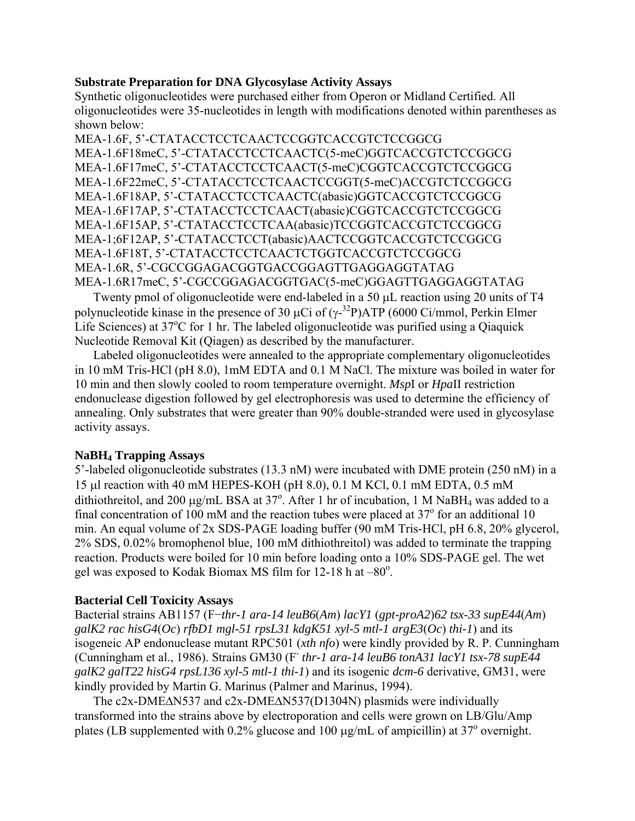#### **Substrate Preparation for DNA Glycosylase Activity Assays**

Synthetic oligonucleotides were purchased either from Operon or Midland Certified. All oligonucleotides were 35-nucleotides in length with modifications denoted within parentheses as shown below:

MEA-1.6F, 5'-CTATACCTCCTCAACTCCGGTCACCGTCTCCGGCG MEA-1.6F18meC, 5'-CTATACCTCCTCAACTC(5-meC)GGTCACCGTCTCCGGCG MEA-1.6F17meC, 5'-CTATACCTCCTCAACT(5-meC)CGGTCACCGTCTCCGGCG MEA-1.6F22meC, 5'-CTATACCTCCTCAACTCCGGT(5-meC)ACCGTCTCCGGCG MEA-1.6F18AP, 5'-CTATACCTCCTCAACTC(abasic)GGTCACCGTCTCCGGCG MEA-1.6F17AP, 5'-CTATACCTCCTCAACT(abasic)CGGTCACCGTCTCCGGCG MEA-1.6F15AP, 5'-CTATACCTCCTCAA(abasic)TCCGGTCACCGTCTCCGGCG MEA-1;6F12AP, 5'-CTATACCTCCT(abasic)AACTCCGGTCACCGTCTCCGGCG MEA-1.6F18T, 5'-CTATACCTCCTCAACTCTGGTCACCGTCTCCGGCG MEA-1.6R, 5'-CGCCGGAGACGGTGACCGGAGTTGAGGAGGTATAG MEA-1.6R17meC, 5'-CGCCGGAGACGGTGAC(5-meC)GGAGTTGAGGAGGTATAG

Twenty pmol of oligonucleotide were end-labeled in a 50 µL reaction using 20 units of T4 polynucleotide kinase in the presence of 30  $\mu$ Ci of ( $\gamma$ -<sup>32</sup>P)ATP (6000 Ci/mmol, Perkin Elmer Life Sciences) at 37°C for 1 hr. The labeled oligonucleotide was purified using a Qiaquick Nucleotide Removal Kit (Qiagen) as described by the manufacturer.

Labeled oligonucleotides were annealed to the appropriate complementary oligonucleotides in 10 mM Tris-HCl (pH 8.0), 1mM EDTA and 0.1 M NaCl. The mixture was boiled in water for 10 min and then slowly cooled to room temperature overnight. *Msp*I or *Hpa*II restriction endonuclease digestion followed by gel electrophoresis was used to determine the efficiency of annealing. Only substrates that were greater than 90% double-stranded were used in glycosylase activity assays.

## **NaBH4 Trapping Assays**

5'-labeled oligonucleotide substrates (13.3 nM) were incubated with DME protein (250 nM) in a 15 µl reaction with 40 mM HEPES-KOH (pH 8.0), 0.1 M KCl, 0.1 mM EDTA, 0.5 mM dithiothreitol, and 200  $\mu$ g/mL BSA at 37°. After 1 hr of incubation, 1 M NaBH<sub>4</sub> was added to a final concentration of  $100 \text{ mM}$  and the reaction tubes were placed at 37 $\textdegree$  for an additional 10 min. An equal volume of 2x SDS-PAGE loading buffer (90 mM Tris-HCl, pH 6.8, 20% glycerol, 2% SDS, 0.02% bromophenol blue, 100 mM dithiothreitol) was added to terminate the trapping reaction. Products were boiled for 10 min before loading onto a 10% SDS-PAGE gel. The wet gel was exposed to Kodak Biomax MS film for  $12-18$  h at  $-80^\circ$ .

## **Bacterial Cell Toxicity Assays**

Bacterial strains AB1157 (F−*thr-1 ara-14 leuB6*(*Am*) *lacY1* (*gpt-proA2*)*62 tsx-33 supE44*(*Am*) *galK2 rac hisG4*(*Oc*) *rfbD1 mgl-51 rpsL31 kdgK51 xyl-5 mtl-1 argE3*(*Oc*) *thi-1*) and its isogeneic AP endonuclease mutant RPC501 (*xth nfo*) were kindly provided by R. P. Cunningham (Cunningham et al., 1986). Strains GM30 (F- *thr-1 ara-14 leuB6 tonA31 lacY1 tsx-78 supE44 galK2 galT22 hisG4 rpsL136 xyl-5 mtl-1 thi-1*) and its isogenic *dcm-6* derivative, GM31, were kindly provided by Martin G. Marinus (Palmer and Marinus, 1994).

The c2x-DME∆N537 and c2x-DME∆N537(D1304N) plasmids were individually transformed into the strains above by electroporation and cells were grown on LB/Glu/Amp plates (LB supplemented with  $0.2\%$  glucose and 100  $\mu$ g/mL of ampicillin) at 37<sup>°</sup> overnight.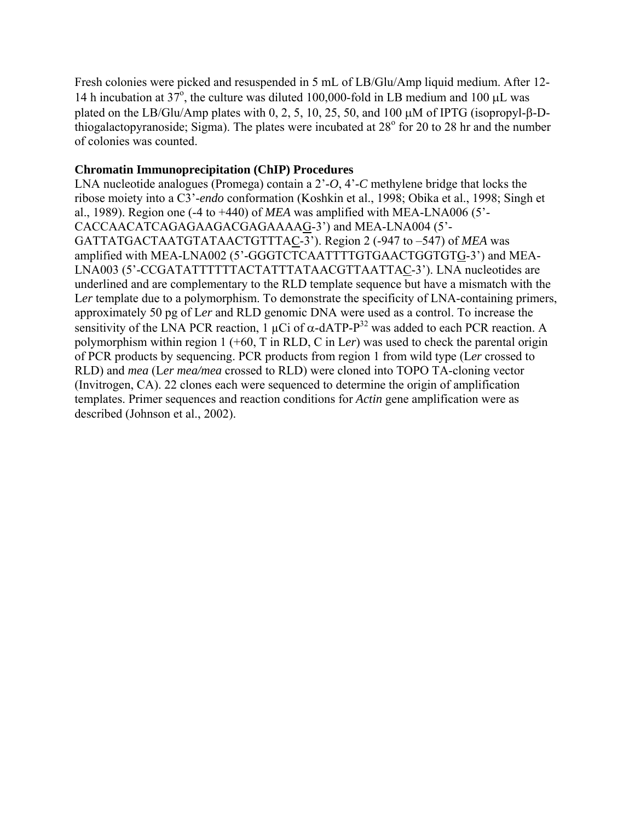Fresh colonies were picked and resuspended in 5 mL of LB/Glu/Amp liquid medium. After 12- 14 h incubation at 37°, the culture was diluted 100,000-fold in LB medium and 100  $\mu$ L was plated on the LB/Glu/Amp plates with 0, 2, 5, 10, 25, 50, and 100 µM of IPTG (isopropyl-β-Dthiogalactopyranoside; Sigma). The plates were incubated at  $28^{\circ}$  for 20 to 28 hr and the number of colonies was counted.

#### **Chromatin Immunoprecipitation (ChIP) Procedures**

LNA nucleotide analogues (Promega) contain a 2'-*O*, 4'-*C* methylene bridge that locks the ribose moiety into a C3'-*endo* conformation (Koshkin et al., 1998; Obika et al., 1998; Singh et al., 1989). Region one (-4 to +440) of *MEA* was amplified with MEA-LNA006 (5'- CACCAACATCAGAGAAGACGAGAAAAG-3') and MEA-LNA004 (5'- GATTATGACTAATGTATAACTGTTTAC-3'). Region 2 (-947 to –547) of *MEA* was amplified with MEA-LNA002 (5'-GGGTCTCAATTTTGTGAACTGGTGTG-3') and MEA-LNA003 (5'-CCGATATTTTTTACTATTTATAACGTTAATTAC-3'). LNA nucleotides are underlined and are complementary to the RLD template sequence but have a mismatch with the Ler template due to a polymorphism. To demonstrate the specificity of LNA-containing primers, approximately 50 pg of L*er* and RLD genomic DNA were used as a control. To increase the sensitivity of the LNA PCR reaction, 1  $\mu$ Ci of  $\alpha$ -dATP- $P^{32}$  was added to each PCR reaction. A polymorphism within region 1 (+60, T in RLD, C in L*er*) was used to check the parental origin of PCR products by sequencing. PCR products from region 1 from wild type (L*er* crossed to RLD) and *mea* (L*er mea/mea* crossed to RLD) were cloned into TOPO TA-cloning vector (Invitrogen, CA). 22 clones each were sequenced to determine the origin of amplification templates. Primer sequences and reaction conditions for *Actin* gene amplification were as described (Johnson et al., 2002).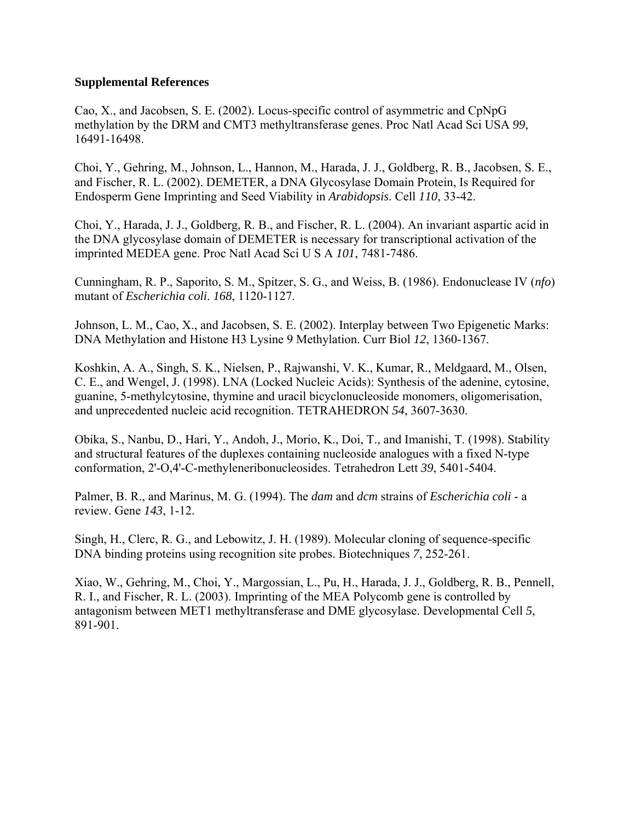#### **Supplemental References**

Cao, X., and Jacobsen, S. E. (2002). Locus-specific control of asymmetric and CpNpG methylation by the DRM and CMT3 methyltransferase genes. Proc Natl Acad Sci USA *99*, 16491-16498.

Choi, Y., Gehring, M., Johnson, L., Hannon, M., Harada, J. J., Goldberg, R. B., Jacobsen, S. E., and Fischer, R. L. (2002). DEMETER, a DNA Glycosylase Domain Protein, Is Required for Endosperm Gene Imprinting and Seed Viability in *Arabidopsis*. Cell *110*, 33-42.

Choi, Y., Harada, J. J., Goldberg, R. B., and Fischer, R. L. (2004). An invariant aspartic acid in the DNA glycosylase domain of DEMETER is necessary for transcriptional activation of the imprinted MEDEA gene. Proc Natl Acad Sci U S A *101*, 7481-7486.

Cunningham, R. P., Saporito, S. M., Spitzer, S. G., and Weiss, B. (1986). Endonuclease IV (*nfo*) mutant of *Escherichia coli*. *168*, 1120-1127.

Johnson, L. M., Cao, X., and Jacobsen, S. E. (2002). Interplay between Two Epigenetic Marks: DNA Methylation and Histone H3 Lysine 9 Methylation. Curr Biol *12*, 1360-1367.

Koshkin, A. A., Singh, S. K., Nielsen, P., Rajwanshi, V. K., Kumar, R., Meldgaard, M., Olsen, C. E., and Wengel, J. (1998). LNA (Locked Nucleic Acids): Synthesis of the adenine, cytosine, guanine, 5-methylcytosine, thymine and uracil bicyclonucleoside monomers, oligomerisation, and unprecedented nucleic acid recognition. TETRAHEDRON *54*, 3607-3630.

Obika, S., Nanbu, D., Hari, Y., Andoh, J., Morio, K., Doi, T., and Imanishi, T. (1998). Stability and structural features of the duplexes containing nucleoside analogues with a fixed N-type conformation, 2'-O,4'-C-methyleneribonucleosides. Tetrahedron Lett *39*, 5401-5404.

Palmer, B. R., and Marinus, M. G. (1994). The *dam* and *dcm* strains of *Escherichia coli* - a review. Gene *143*, 1-12.

Singh, H., Clerc, R. G., and Lebowitz, J. H. (1989). Molecular cloning of sequence-specific DNA binding proteins using recognition site probes. Biotechniques *7*, 252-261.

Xiao, W., Gehring, M., Choi, Y., Margossian, L., Pu, H., Harada, J. J., Goldberg, R. B., Pennell, R. I., and Fischer, R. L. (2003). Imprinting of the MEA Polycomb gene is controlled by antagonism between MET1 methyltransferase and DME glycosylase. Developmental Cell *5*, 891-901.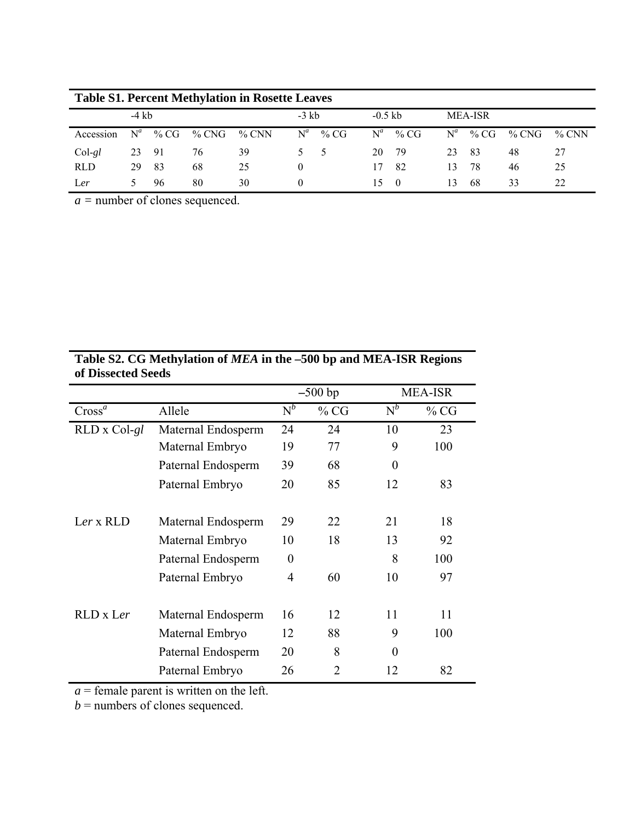| <b>Table S1. Percent Methylation in Rosette Leaves</b> |         |      |       |       |          |      |           |      |                |      |       |          |
|--------------------------------------------------------|---------|------|-------|-------|----------|------|-----------|------|----------------|------|-------|----------|
|                                                        | $-4$ kb |      |       |       | $-3$ kb  |      | $-0.5$ kb |      | <b>MEA-ISR</b> |      |       |          |
| Accession                                              | $N^a$   | % CG | % CNG | % CNN | $N^a$    | % CG | $N^a$     | % CG | $N^a$          | % CG | % CNG | $\%$ CNN |
| $Col-gl$                                               | 23      | - 91 | 76    | 39    | $5 -$    | - 5  | 20        | - 79 | 23             | -83  | 48    | 27       |
| <b>RLD</b>                                             | 29      | -83  | 68    | 25    |          |      | 17        | 82   | 13             | 78   | 46    | 25       |
| Ler                                                    |         | 96   | 80    | 30    | $\theta$ |      | 15.       | - 0  | 13             | -68  | 33    | 22       |

*a =* number of clones sequenced.

## **Table S2. CG Methylation of** *MEA* **in the –500 bp and MEA-ISR Regions of Dissected Seeds**

|                    |                    |          | $-500$ bp |                | <b>MEA-ISR</b> |
|--------------------|--------------------|----------|-----------|----------------|----------------|
| Cross <sup>a</sup> | Allele             | $N^b$    | % CG      | $N^b$          | % CG           |
| RLD x Col-gl       | Maternal Endosperm | 24       | 24        | 10             | 23             |
|                    | Maternal Embryo    | 19       | 77        | 9              | 100            |
|                    | Paternal Endosperm | 39       | 68        | $\overline{0}$ |                |
|                    | Paternal Embryo    | 20       | 85        | 12             | 83             |
| $Ler \times RLD$   | Maternal Endosperm | 29       | 22        | 21             | 18             |
|                    | Maternal Embryo    | 10       | 18        | 13             | 92             |
|                    | Paternal Endosperm | $\theta$ |           | 8              | 100            |
|                    | Paternal Embryo    | 4        | 60        | 10             | 97             |
| RLD x Ler          | Maternal Endosperm | 16       | 12        | 11             | 11             |
|                    | Maternal Embryo    | 12       | 88        | 9              | 100            |
|                    | Paternal Endosperm | 20       | 8         | $\theta$       |                |
|                    | Paternal Embryo    | 26       | 2         | 12             | 82             |

*a* = female parent is written on the left.

*b* = numbers of clones sequenced.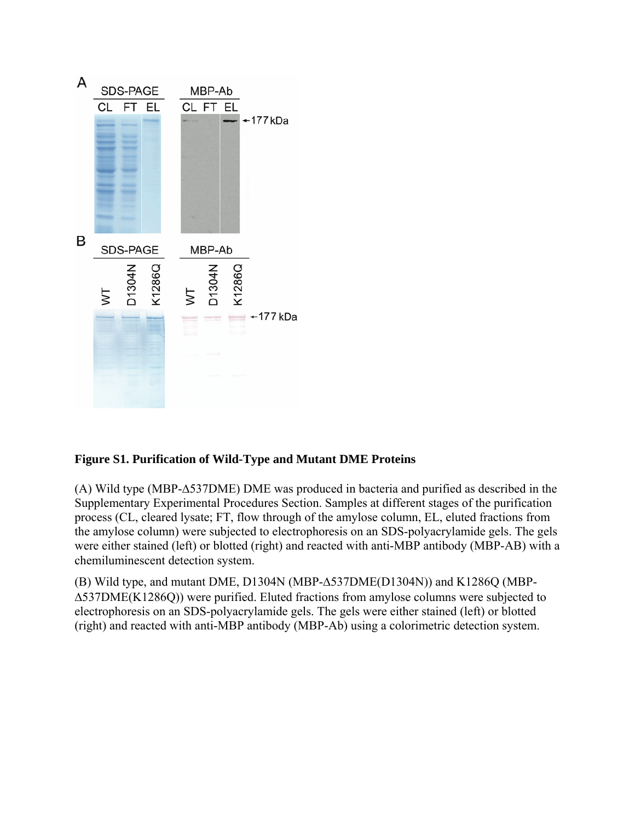

## **Figure S1. Purification of Wild-Type and Mutant DME Proteins**

(A) Wild type (MBP-∆537DME) DME was produced in bacteria and purified as described in the Supplementary Experimental Procedures Section. Samples at different stages of the purification process (CL, cleared lysate; FT, flow through of the amylose column, EL, eluted fractions from the amylose column) were subjected to electrophoresis on an SDS-polyacrylamide gels. The gels were either stained (left) or blotted (right) and reacted with anti-MBP antibody (MBP-AB) with a chemiluminescent detection system.

(B) Wild type, and mutant DME, D1304N (MBP-∆537DME(D1304N)) and K1286Q (MBP- ∆537DME(K1286Q)) were purified. Eluted fractions from amylose columns were subjected to electrophoresis on an SDS-polyacrylamide gels. The gels were either stained (left) or blotted (right) and reacted with anti-MBP antibody (MBP-Ab) using a colorimetric detection system.